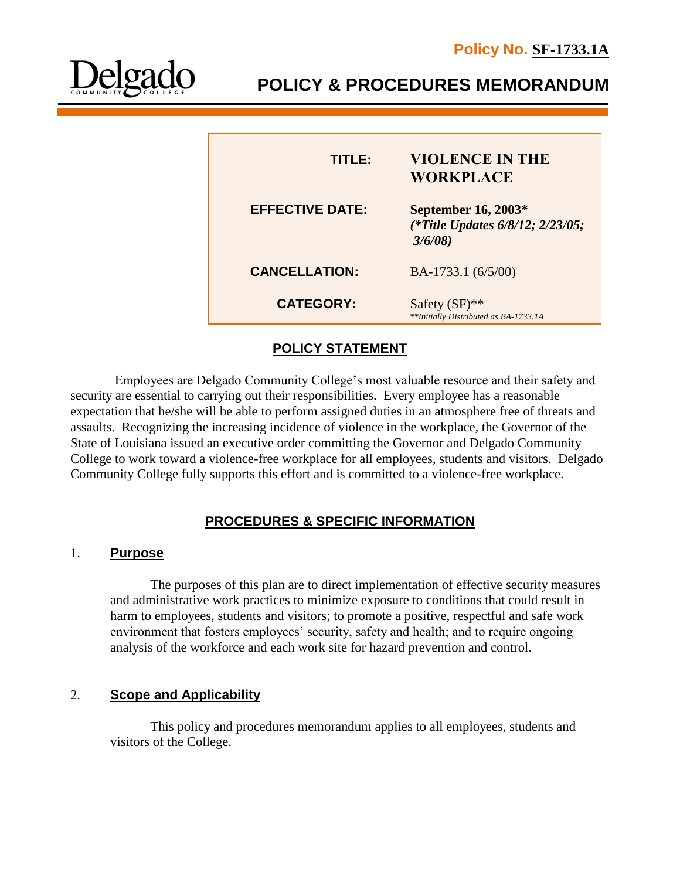

I

L

**POLICY & PROCEDURES MEMORANDUM**

| <b>TITLE:</b>          | <b>VIOLENCE IN THE</b><br><b>WORKPLACE</b>                        |
|------------------------|-------------------------------------------------------------------|
| <b>EFFECTIVE DATE:</b> | September 16, 2003*<br>(*Title Updates 6/8/12; 2/23/05;<br>3/6/08 |
| <b>CANCELLATION:</b>   | BA-1733.1 (6/5/00)                                                |
| <b>CATEGORY:</b>       | Safety $(SF)$ **<br>**Initially Distributed as BA-1733.1A         |

## **POLICY STATEMENT**

 Employees are Delgado Community College's most valuable resource and their safety and security are essential to carrying out their responsibilities. Every employee has a reasonable expectation that he/she will be able to perform assigned duties in an atmosphere free of threats and assaults. Recognizing the increasing incidence of violence in the workplace, the Governor of the State of Louisiana issued an executive order committing the Governor and Delgado Community College to work toward a violence-free workplace for all employees, students and visitors. Delgado Community College fully supports this effort and is committed to a violence-free workplace.

## **PROCEDURES & SPECIFIC INFORMATION**

#### 1. **Purpose**

The purposes of this plan are to direct implementation of effective security measures and administrative work practices to minimize exposure to conditions that could result in harm to employees, students and visitors; to promote a positive, respectful and safe work environment that fosters employees' security, safety and health; and to require ongoing analysis of the workforce and each work site for hazard prevention and control.

## 2. **Scope and Applicability**

This policy and procedures memorandum applies to all employees, students and visitors of the College.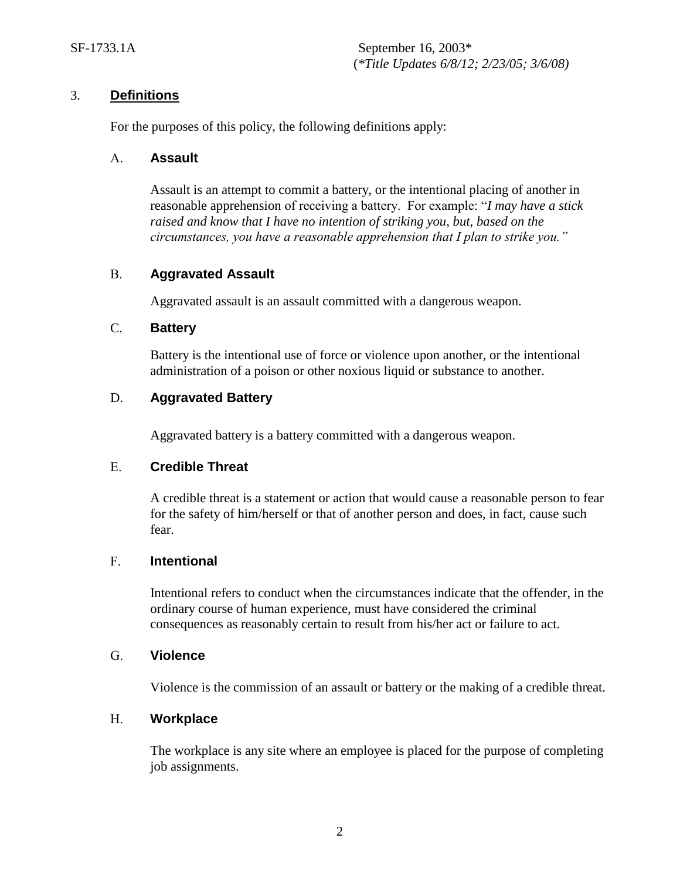#### 3. **Definitions**

For the purposes of this policy, the following definitions apply:

#### A. **Assault**

Assault is an attempt to commit a battery, or the intentional placing of another in reasonable apprehension of receiving a battery. For example: "*I may have a stick raised and know that I have no intention of striking you, but, based on the circumstances, you have a reasonable apprehension that I plan to strike you."*

#### B. **Aggravated Assault**

Aggravated assault is an assault committed with a dangerous weapon.

#### C. **Battery**

Battery is the intentional use of force or violence upon another, or the intentional administration of a poison or other noxious liquid or substance to another.

#### D. **Aggravated Battery**

Aggravated battery is a battery committed with a dangerous weapon.

#### E. **Credible Threat**

A credible threat is a statement or action that would cause a reasonable person to fear for the safety of him/herself or that of another person and does, in fact, cause such fear.

#### F. **Intentional**

Intentional refers to conduct when the circumstances indicate that the offender, in the ordinary course of human experience, must have considered the criminal consequences as reasonably certain to result from his/her act or failure to act.

#### G. **Violence**

Violence is the commission of an assault or battery or the making of a credible threat.

#### H. **Workplace**

The workplace is any site where an employee is placed for the purpose of completing job assignments.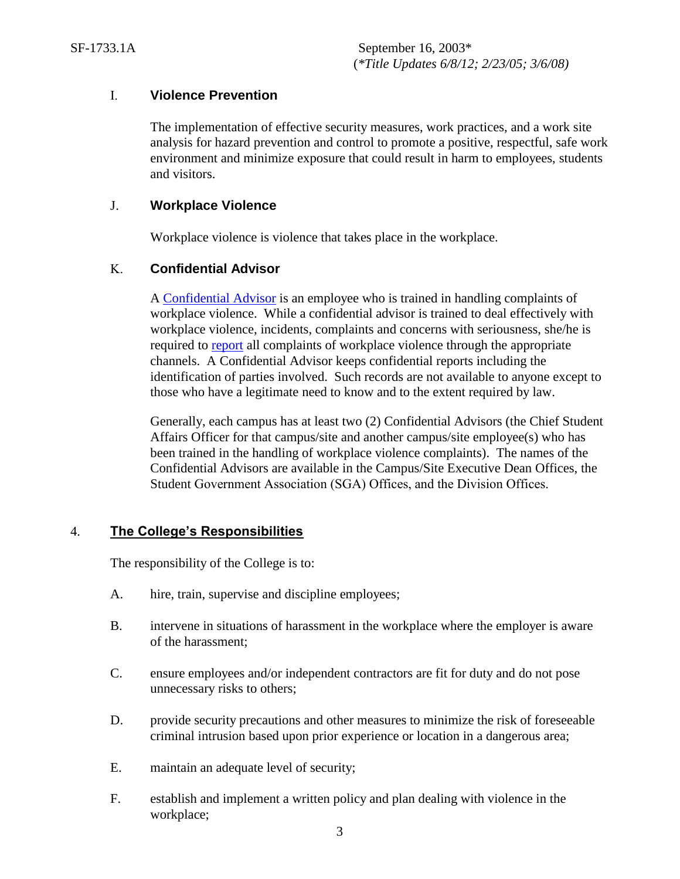## I. **Violence Prevention**

The implementation of effective security measures, work practices, and a work site analysis for hazard prevention and control to promote a positive, respectful, safe work environment and minimize exposure that could result in harm to employees, students and visitors.

#### J. **Workplace Violence**

Workplace violence is violence that takes place in the workplace.

## K. **Confidential Advisor**

A [Confidential Advisor](http://docushare3.dcc.edu/docushare/dsweb/Get/Document-1935) is an employee who is trained in handling complaints of workplace violence. While a confidential advisor is trained to deal effectively with workplace violence, incidents, complaints and concerns with seriousness, she/he is required to [report](http://docushare3.dcc.edu/docushare/dsweb/Get/Document-4924) all complaints of workplace violence through the appropriate channels. A Confidential Advisor keeps confidential reports including the identification of parties involved. Such records are not available to anyone except to those who have a legitimate need to know and to the extent required by law.

Generally, each campus has at least two (2) Confidential Advisors (the Chief Student Affairs Officer for that campus/site and another campus/site employee(s) who has been trained in the handling of workplace violence complaints). The names of the Confidential Advisors are available in the Campus/Site Executive Dean Offices, the Student Government Association (SGA) Offices, and the Division Offices.

## 4. **The College's Responsibilities**

The responsibility of the College is to:

- A. hire, train, supervise and discipline employees;
- B. intervene in situations of harassment in the workplace where the employer is aware of the harassment;
- C. ensure employees and/or independent contractors are fit for duty and do not pose unnecessary risks to others;
- D. provide security precautions and other measures to minimize the risk of foreseeable criminal intrusion based upon prior experience or location in a dangerous area;
- E. maintain an adequate level of security;
- F. establish and implement a written policy and plan dealing with violence in the workplace;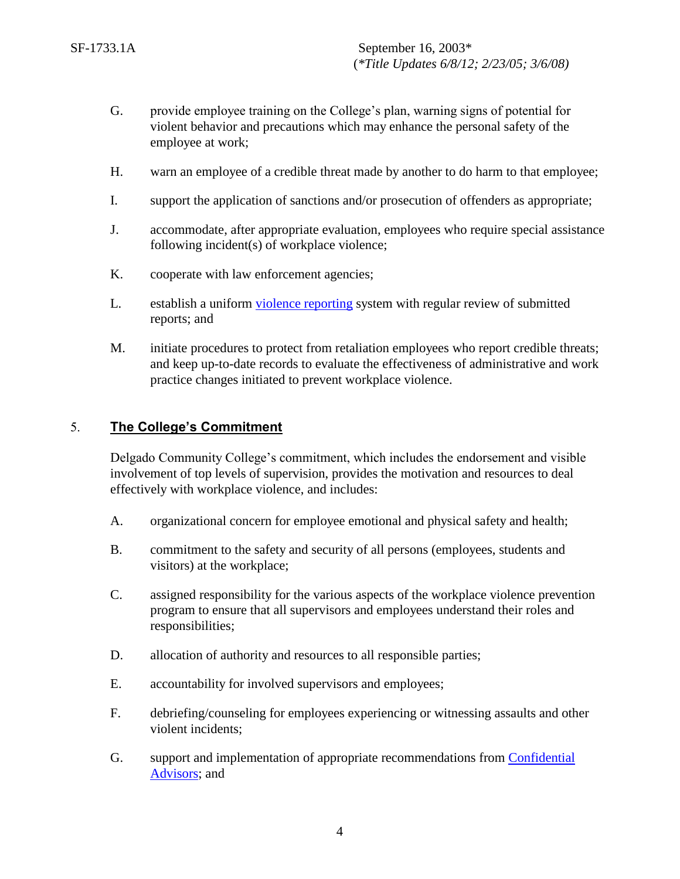- G. provide employee training on the College's plan, warning signs of potential for violent behavior and precautions which may enhance the personal safety of the employee at work;
- H. warn an employee of a credible threat made by another to do harm to that employee;
- I. support the application of sanctions and/or prosecution of offenders as appropriate;
- J. accommodate, after appropriate evaluation, employees who require special assistance following incident(s) of workplace violence;
- K. cooperate with law enforcement agencies;
- L. establish a uniform [violence reporting](http://docushare3.dcc.edu/docushare/dsweb/Get/Document-4924) system with regular review of submitted reports; and
- M. initiate procedures to protect from retaliation employees who report credible threats; and keep up-to-date records to evaluate the effectiveness of administrative and work practice changes initiated to prevent workplace violence.

## 5. **The College's Commitment**

Delgado Community College's commitment, which includes the endorsement and visible involvement of top levels of supervision, provides the motivation and resources to deal effectively with workplace violence, and includes:

- A. organizational concern for employee emotional and physical safety and health;
- B. commitment to the safety and security of all persons (employees, students and visitors) at the workplace;
- C. assigned responsibility for the various aspects of the workplace violence prevention program to ensure that all supervisors and employees understand their roles and responsibilities;
- D. allocation of authority and resources to all responsible parties;
- E. accountability for involved supervisors and employees;
- F. debriefing/counseling for employees experiencing or witnessing assaults and other violent incidents;
- G. support and implementation of appropriate recommendations from [Confidential](http://docushare3.dcc.edu/docushare/dsweb/Get/Document-1935)  [Advisors;](http://docushare3.dcc.edu/docushare/dsweb/Get/Document-1935) and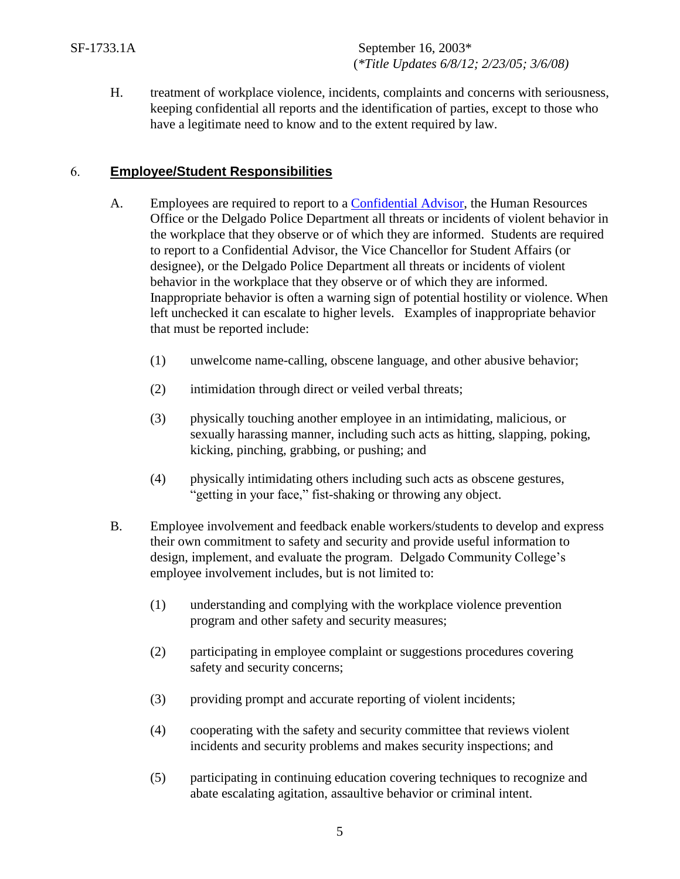H. treatment of workplace violence, incidents, complaints and concerns with seriousness, keeping confidential all reports and the identification of parties, except to those who have a legitimate need to know and to the extent required by law.

## 6. **Employee/Student Responsibilities**

- A. Employees are required to report to a [Confidential Advisor,](http://docushare3.dcc.edu/docushare/dsweb/Get/Document-1935/) the Human Resources Office or the Delgado Police Department all threats or incidents of violent behavior in the workplace that they observe or of which they are informed. Students are required to report to a Confidential Advisor, the Vice Chancellor for Student Affairs (or designee), or the Delgado Police Department all threats or incidents of violent behavior in the workplace that they observe or of which they are informed. Inappropriate behavior is often a warning sign of potential hostility or violence. When left unchecked it can escalate to higher levels. Examples of inappropriate behavior that must be reported include:
	- (1) unwelcome name-calling, obscene language, and other abusive behavior;
	- (2) intimidation through direct or veiled verbal threats;
	- (3) physically touching another employee in an intimidating, malicious, or sexually harassing manner, including such acts as hitting, slapping, poking, kicking, pinching, grabbing, or pushing; and
	- (4) physically intimidating others including such acts as obscene gestures, "getting in your face," fist-shaking or throwing any object.
- B. Employee involvement and feedback enable workers/students to develop and express their own commitment to safety and security and provide useful information to design, implement, and evaluate the program. Delgado Community College's employee involvement includes, but is not limited to:
	- (1) understanding and complying with the workplace violence prevention program and other safety and security measures;
	- (2) participating in employee complaint or suggestions procedures covering safety and security concerns;
	- (3) providing prompt and accurate reporting of violent incidents;
	- (4) cooperating with the safety and security committee that reviews violent incidents and security problems and makes security inspections; and
	- (5) participating in continuing education covering techniques to recognize and abate escalating agitation, assaultive behavior or criminal intent.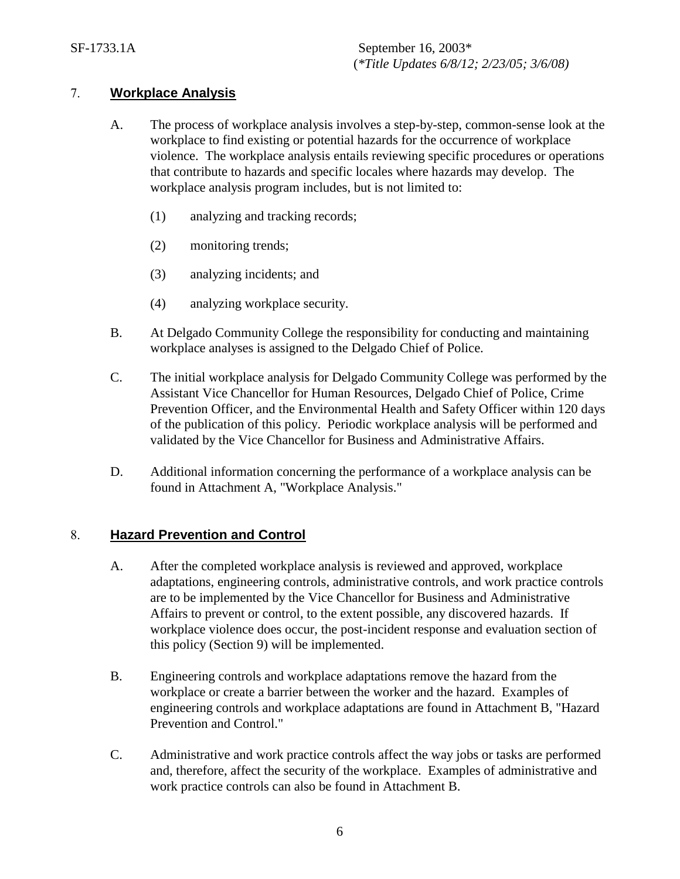## 7. **Workplace Analysis**

- A. The process of workplace analysis involves a step-by-step, common-sense look at the workplace to find existing or potential hazards for the occurrence of workplace violence. The workplace analysis entails reviewing specific procedures or operations that contribute to hazards and specific locales where hazards may develop. The workplace analysis program includes, but is not limited to:
	- (1) analyzing and tracking records;
	- (2) monitoring trends;
	- (3) analyzing incidents; and
	- (4) analyzing workplace security.
- B. At Delgado Community College the responsibility for conducting and maintaining workplace analyses is assigned to the Delgado Chief of Police.
- C. The initial workplace analysis for Delgado Community College was performed by the Assistant Vice Chancellor for Human Resources, Delgado Chief of Police, Crime Prevention Officer, and the Environmental Health and Safety Officer within 120 days of the publication of this policy. Periodic workplace analysis will be performed and validated by the Vice Chancellor for Business and Administrative Affairs.
- D. Additional information concerning the performance of a workplace analysis can be found in Attachment A, "Workplace Analysis."

## 8. **Hazard Prevention and Control**

- A. After the completed workplace analysis is reviewed and approved, workplace adaptations, engineering controls, administrative controls, and work practice controls are to be implemented by the Vice Chancellor for Business and Administrative Affairs to prevent or control, to the extent possible, any discovered hazards. If workplace violence does occur, the post-incident response and evaluation section of this policy (Section 9) will be implemented.
- B. Engineering controls and workplace adaptations remove the hazard from the workplace or create a barrier between the worker and the hazard. Examples of engineering controls and workplace adaptations are found in Attachment B, "Hazard Prevention and Control."
- C. Administrative and work practice controls affect the way jobs or tasks are performed and, therefore, affect the security of the workplace. Examples of administrative and work practice controls can also be found in Attachment B.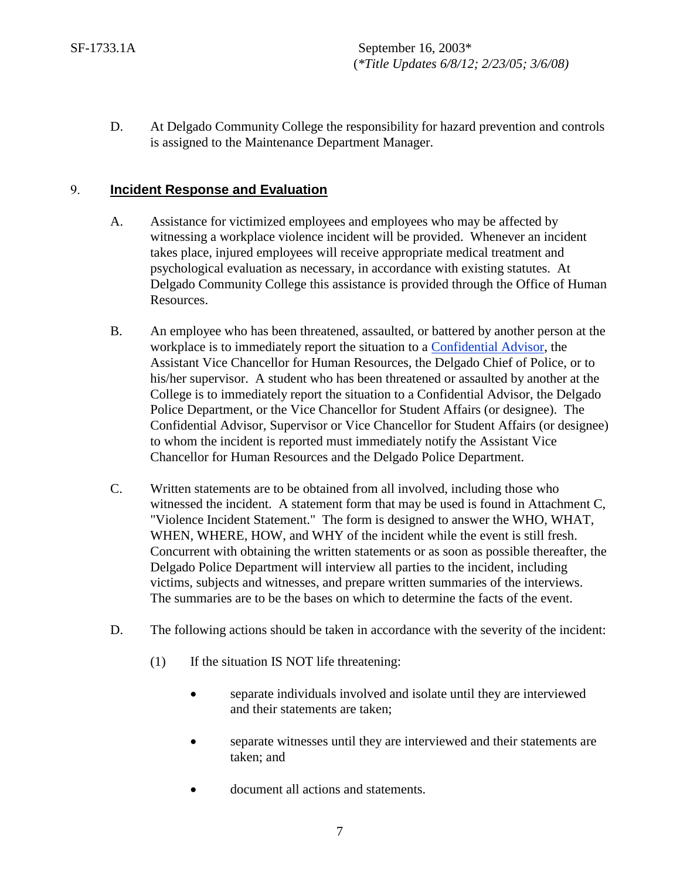D. At Delgado Community College the responsibility for hazard prevention and controls is assigned to the Maintenance Department Manager.

## 9. **Incident Response and Evaluation**

- A. Assistance for victimized employees and employees who may be affected by witnessing a workplace violence incident will be provided. Whenever an incident takes place, injured employees will receive appropriate medical treatment and psychological evaluation as necessary, in accordance with existing statutes. At Delgado Community College this assistance is provided through the Office of Human Resources.
- B. An employee who has been threatened, assaulted, or battered by another person at the workplace is to immediately report the situation to a [Confidential Advisor,](http://docushare3.dcc.edu/docushare/dsweb/Get/Document-1935/OpGuide+08-09+-+ConfidentialAdvisors.pdf) the Assistant Vice Chancellor for Human Resources, the Delgado Chief of Police, or to his/her supervisor. A student who has been threatened or assaulted by another at the College is to immediately report the situation to a Confidential Advisor, the Delgado Police Department, or the Vice Chancellor for Student Affairs (or designee). The Confidential Advisor, Supervisor or Vice Chancellor for Student Affairs (or designee) to whom the incident is reported must immediately notify the Assistant Vice Chancellor for Human Resources and the Delgado Police Department.
- C. Written statements are to be obtained from all involved, including those who witnessed the incident. A statement form that may be used is found in Attachment C, "Violence Incident Statement." The form is designed to answer the WHO, WHAT, WHEN, WHERE, HOW, and WHY of the incident while the event is still fresh. Concurrent with obtaining the written statements or as soon as possible thereafter, the Delgado Police Department will interview all parties to the incident, including victims, subjects and witnesses, and prepare written summaries of the interviews. The summaries are to be the bases on which to determine the facts of the event.
- D. The following actions should be taken in accordance with the severity of the incident:
	- (1) If the situation IS NOT life threatening:
		- separate individuals involved and isolate until they are interviewed and their statements are taken;
		- separate witnesses until they are interviewed and their statements are taken; and
		- document all actions and statements.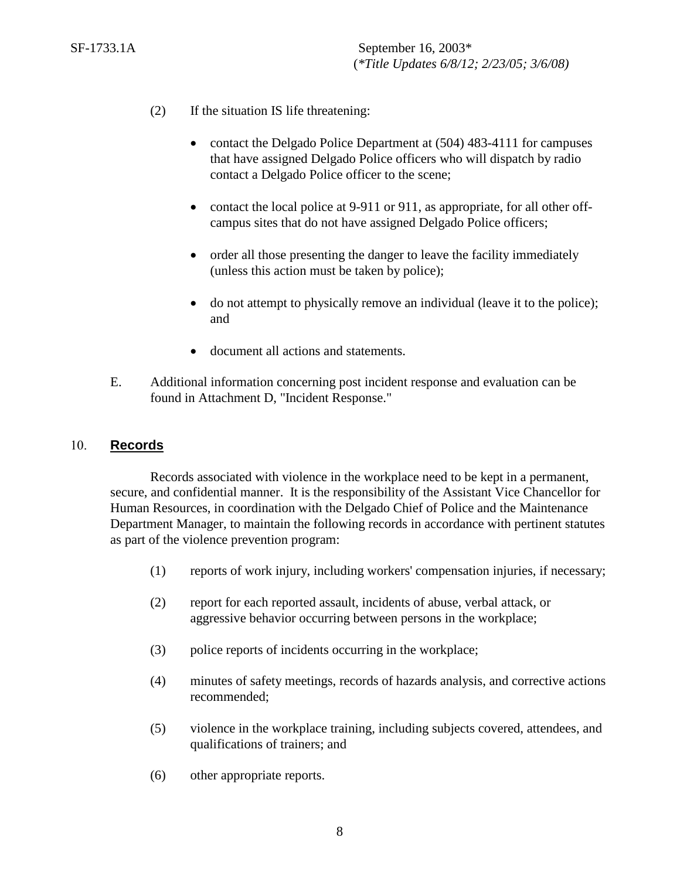- (2) If the situation IS life threatening:
	- contact the Delgado Police Department at (504) 483-4111 for campuses that have assigned Delgado Police officers who will dispatch by radio contact a Delgado Police officer to the scene;
	- contact the local police at 9-911 or 911, as appropriate, for all other offcampus sites that do not have assigned Delgado Police officers;
	- order all those presenting the danger to leave the facility immediately (unless this action must be taken by police);
	- do not attempt to physically remove an individual (leave it to the police); and
	- document all actions and statements.
- E. Additional information concerning post incident response and evaluation can be found in Attachment D, "Incident Response."

#### 10. **Records**

Records associated with violence in the workplace need to be kept in a permanent, secure, and confidential manner. It is the responsibility of the Assistant Vice Chancellor for Human Resources, in coordination with the Delgado Chief of Police and the Maintenance Department Manager, to maintain the following records in accordance with pertinent statutes as part of the violence prevention program:

- (1) reports of work injury, including workers' compensation injuries, if necessary;
- (2) report for each reported assault, incidents of abuse, verbal attack, or aggressive behavior occurring between persons in the workplace;
- (3) police reports of incidents occurring in the workplace;
- (4) minutes of safety meetings, records of hazards analysis, and corrective actions recommended;
- (5) violence in the workplace training, including subjects covered, attendees, and qualifications of trainers; and
- (6) other appropriate reports.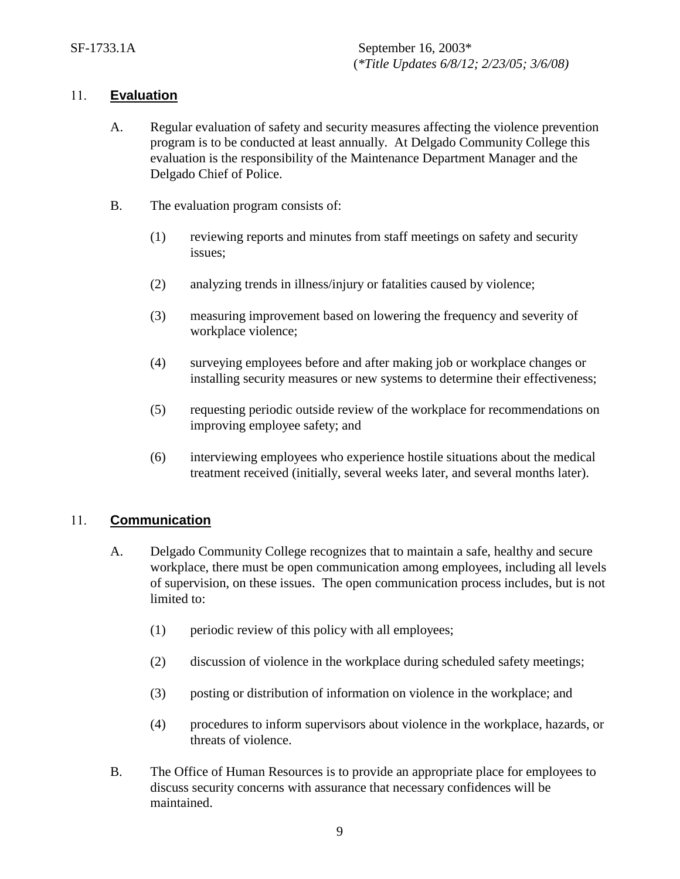## 11. **Evaluation**

- A. Regular evaluation of safety and security measures affecting the violence prevention program is to be conducted at least annually. At Delgado Community College this evaluation is the responsibility of the Maintenance Department Manager and the Delgado Chief of Police.
- B. The evaluation program consists of:
	- (1) reviewing reports and minutes from staff meetings on safety and security issues;
	- (2) analyzing trends in illness/injury or fatalities caused by violence;
	- (3) measuring improvement based on lowering the frequency and severity of workplace violence;
	- (4) surveying employees before and after making job or workplace changes or installing security measures or new systems to determine their effectiveness;
	- (5) requesting periodic outside review of the workplace for recommendations on improving employee safety; and
	- (6) interviewing employees who experience hostile situations about the medical treatment received (initially, several weeks later, and several months later).

## 11. **Communication**

- A. Delgado Community College recognizes that to maintain a safe, healthy and secure workplace, there must be open communication among employees, including all levels of supervision, on these issues. The open communication process includes, but is not limited to:
	- (1) periodic review of this policy with all employees;
	- (2) discussion of violence in the workplace during scheduled safety meetings;
	- (3) posting or distribution of information on violence in the workplace; and
	- (4) procedures to inform supervisors about violence in the workplace, hazards, or threats of violence.
- B. The Office of Human Resources is to provide an appropriate place for employees to discuss security concerns with assurance that necessary confidences will be maintained.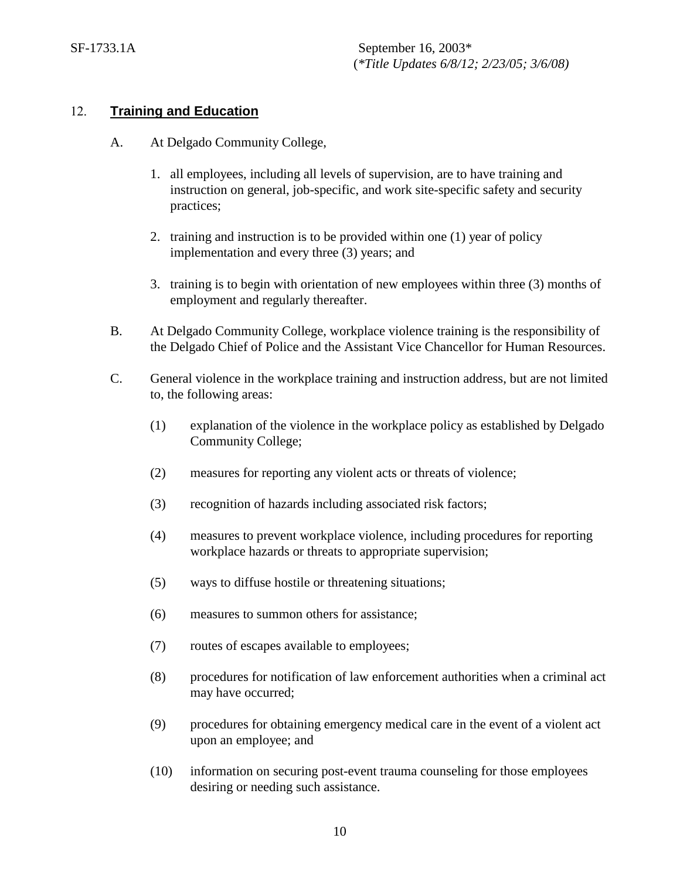#### 12. **Training and Education**

- A. At Delgado Community College,
	- 1. all employees, including all levels of supervision, are to have training and instruction on general, job-specific, and work site-specific safety and security practices;
	- 2. training and instruction is to be provided within one (1) year of policy implementation and every three (3) years; and
	- 3. training is to begin with orientation of new employees within three (3) months of employment and regularly thereafter.
- B. At Delgado Community College, workplace violence training is the responsibility of the Delgado Chief of Police and the Assistant Vice Chancellor for Human Resources.
- C. General violence in the workplace training and instruction address, but are not limited to, the following areas:
	- (1) explanation of the violence in the workplace policy as established by Delgado Community College;
	- (2) measures for reporting any violent acts or threats of violence;
	- (3) recognition of hazards including associated risk factors;
	- (4) measures to prevent workplace violence, including procedures for reporting workplace hazards or threats to appropriate supervision;
	- (5) ways to diffuse hostile or threatening situations;
	- (6) measures to summon others for assistance;
	- (7) routes of escapes available to employees;
	- (8) procedures for notification of law enforcement authorities when a criminal act may have occurred;
	- (9) procedures for obtaining emergency medical care in the event of a violent act upon an employee; and
	- (10) information on securing post-event trauma counseling for those employees desiring or needing such assistance.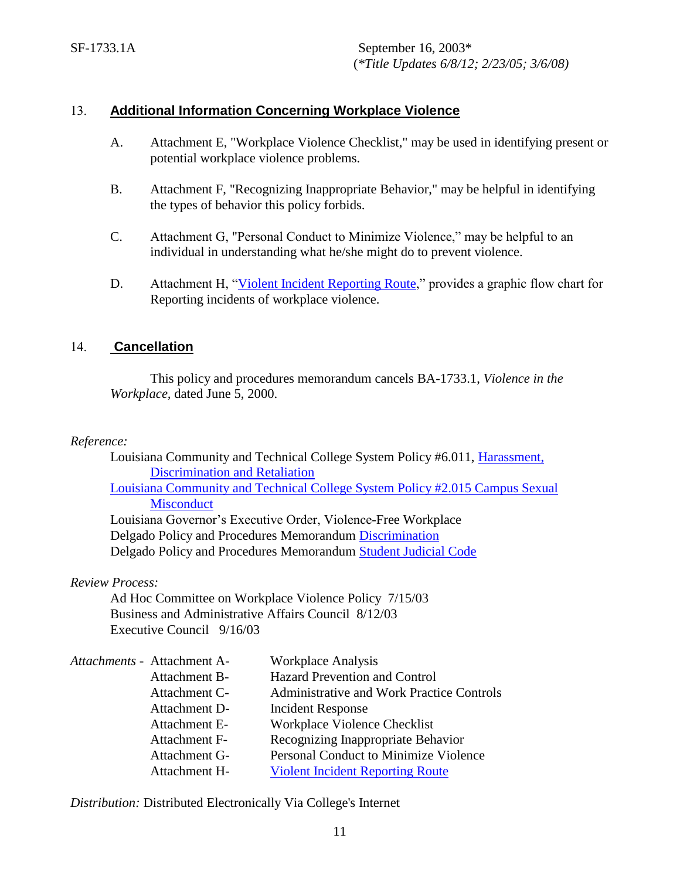## 13. **Additional Information Concerning Workplace Violence**

- A. Attachment E, "Workplace Violence Checklist," may be used in identifying present or potential workplace violence problems.
- B. Attachment F, "Recognizing Inappropriate Behavior," may be helpful in identifying the types of behavior this policy forbids.
- C. Attachment G, "Personal Conduct to Minimize Violence," may be helpful to an individual in understanding what he/she might do to prevent violence.
- D. Attachment H, ["Violent Incident Reporting Route,](http://docushare3.dcc.edu/docushare/dsweb/Get/Document-4924)" provides a graphic flow chart for Reporting incidents of workplace violence.

## 14. **Cancellation**

This policy and procedures memorandum cancels BA-1733.1, *Violence in the Workplace,* dated June 5, 2000.

#### *Reference:*

Louisiana Community and Technical College System Policy #6.011, [Harassment,](https://campussuite-storage.s3.amazonaws.com/prod/1558543/91b64910-2d2e-11e8-8c09-0a7155647e8a/1778097/00535660-584f-11e8-a365-12be56b8d5f6/file/6011_Harassment-Policy_02282018.pdf)   [Discrimination and Retaliation](https://campussuite-storage.s3.amazonaws.com/prod/1558543/91b64910-2d2e-11e8-8c09-0a7155647e8a/1778097/00535660-584f-11e8-a365-12be56b8d5f6/file/6011_Harassment-Policy_02282018.pdf) [Louisiana Community and Technical College System Policy #2.015 Campus Sexual](https://campussuite-storage.s3.amazonaws.com/prod/1558543/91b64910-2d2e-11e8-8c09-0a7155647e8a/1778444/0e151288-58f0-11e8-a098-0a9311ee2338/file/2015_Campus-Sexual-Misconduct_12082016.pdf)  **[Misconduct](https://campussuite-storage.s3.amazonaws.com/prod/1558543/91b64910-2d2e-11e8-8c09-0a7155647e8a/1778444/0e151288-58f0-11e8-a098-0a9311ee2338/file/2015_Campus-Sexual-Misconduct_12082016.pdf)** 

Louisiana Governor's Executive Order, Violence-Free Workplace Delgado Policy and Procedures Memorandum [Discrimination](http://docushare3.dcc.edu/docushare/dsweb/Get/Document-67/1732-2.DOC) Delgado Policy and Procedures Memorandum [Student Judicial Code](http://docushare3.dcc.edu/docushare/dsweb/Get/Document-80/1448-1B.DOC)

*Review Process:*

Ad Hoc Committee on Workplace Violence Policy 7/15/03 Business and Administrative Affairs Council 8/12/03 Executive Council 9/16/03

| Attachments - Attachment A- | <b>Workplace Analysis</b>                 |
|-----------------------------|-------------------------------------------|
| Attachment B-               | <b>Hazard Prevention and Control</b>      |
| Attachment C-               | Administrative and Work Practice Controls |
| Attachment D-               | Incident Response                         |
| Attachment E-               | Workplace Violence Checklist              |
| Attachment F-               | Recognizing Inappropriate Behavior        |
| Attachment G-               | Personal Conduct to Minimize Violence     |
| Attachment H-               | <b>Violent Incident Reporting Route</b>   |
|                             |                                           |

*Distribution:* Distributed Electronically Via College's Internet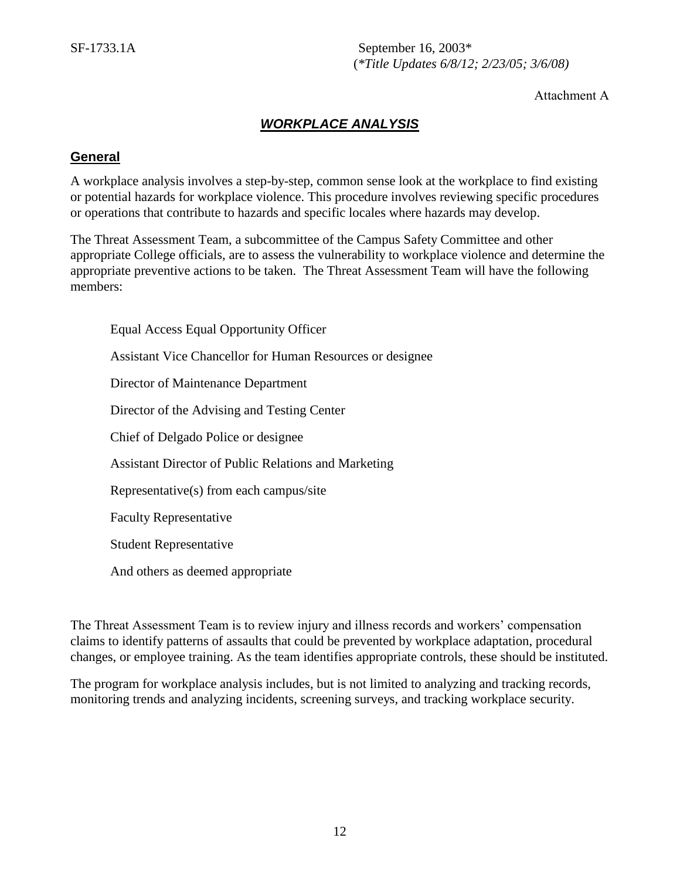Attachment A

## *WORKPLACE ANALYSIS*

#### **General**

A workplace analysis involves a step-by-step, common sense look at the workplace to find existing or potential hazards for workplace violence. This procedure involves reviewing specific procedures or operations that contribute to hazards and specific locales where hazards may develop.

The Threat Assessment Team, a subcommittee of the Campus Safety Committee and other appropriate College officials, are to assess the vulnerability to workplace violence and determine the appropriate preventive actions to be taken. The Threat Assessment Team will have the following members:

Equal Access Equal Opportunity Officer Assistant Vice Chancellor for Human Resources or designee Director of Maintenance Department Director of the Advising and Testing Center Chief of Delgado Police or designee Assistant Director of Public Relations and Marketing Representative(s) from each campus/site Faculty Representative Student Representative And others as deemed appropriate

The Threat Assessment Team is to review injury and illness records and workers' compensation claims to identify patterns of assaults that could be prevented by workplace adaptation, procedural changes, or employee training. As the team identifies appropriate controls, these should be instituted.

The program for workplace analysis includes, but is not limited to analyzing and tracking records, monitoring trends and analyzing incidents, screening surveys, and tracking workplace security.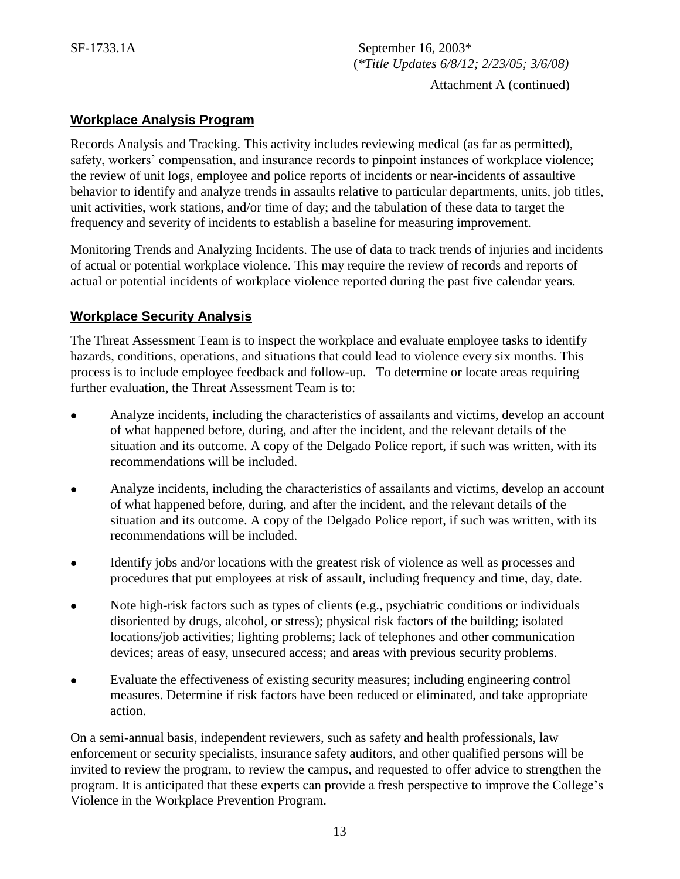Attachment A (continued)

## **Workplace Analysis Program**

Records Analysis and Tracking. This activity includes reviewing medical (as far as permitted), safety, workers' compensation, and insurance records to pinpoint instances of workplace violence; the review of unit logs, employee and police reports of incidents or near-incidents of assaultive behavior to identify and analyze trends in assaults relative to particular departments, units, job titles, unit activities, work stations, and/or time of day; and the tabulation of these data to target the frequency and severity of incidents to establish a baseline for measuring improvement.

Monitoring Trends and Analyzing Incidents. The use of data to track trends of injuries and incidents of actual or potential workplace violence. This may require the review of records and reports of actual or potential incidents of workplace violence reported during the past five calendar years.

## **Workplace Security Analysis**

The Threat Assessment Team is to inspect the workplace and evaluate employee tasks to identify hazards, conditions, operations, and situations that could lead to violence every six months. This process is to include employee feedback and follow-up. To determine or locate areas requiring further evaluation, the Threat Assessment Team is to:

- Analyze incidents, including the characteristics of assailants and victims, develop an account of what happened before, during, and after the incident, and the relevant details of the situation and its outcome. A copy of the Delgado Police report, if such was written, with its recommendations will be included.
- Analyze incidents, including the characteristics of assailants and victims, develop an account of what happened before, during, and after the incident, and the relevant details of the situation and its outcome. A copy of the Delgado Police report, if such was written, with its recommendations will be included.
- Identify jobs and/or locations with the greatest risk of violence as well as processes and procedures that put employees at risk of assault, including frequency and time, day, date.
- Note high-risk factors such as types of clients (e.g., psychiatric conditions or individuals disoriented by drugs, alcohol, or stress); physical risk factors of the building; isolated locations/job activities; lighting problems; lack of telephones and other communication devices; areas of easy, unsecured access; and areas with previous security problems.
- Evaluate the effectiveness of existing security measures; including engineering control measures. Determine if risk factors have been reduced or eliminated, and take appropriate action.

On a semi-annual basis, independent reviewers, such as safety and health professionals, law enforcement or security specialists, insurance safety auditors, and other qualified persons will be invited to review the program, to review the campus, and requested to offer advice to strengthen the program. It is anticipated that these experts can provide a fresh perspective to improve the College's Violence in the Workplace Prevention Program.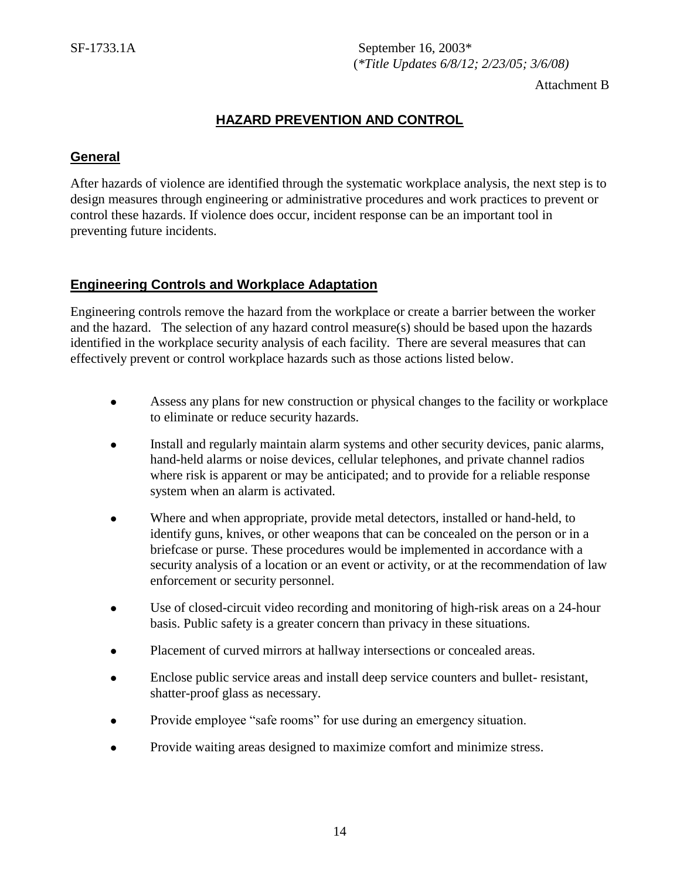Attachment B

## **HAZARD PREVENTION AND CONTROL**

#### **General**

After hazards of violence are identified through the systematic workplace analysis, the next step is to design measures through engineering or administrative procedures and work practices to prevent or control these hazards. If violence does occur, incident response can be an important tool in preventing future incidents.

#### **Engineering Controls and Workplace Adaptation**

Engineering controls remove the hazard from the workplace or create a barrier between the worker and the hazard. The selection of any hazard control measure(s) should be based upon the hazards identified in the workplace security analysis of each facility. There are several measures that can effectively prevent or control workplace hazards such as those actions listed below.

- Assess any plans for new construction or physical changes to the facility or workplace to eliminate or reduce security hazards.
- Install and regularly maintain alarm systems and other security devices, panic alarms, hand-held alarms or noise devices, cellular telephones, and private channel radios where risk is apparent or may be anticipated; and to provide for a reliable response system when an alarm is activated.
- Where and when appropriate, provide metal detectors, installed or hand-held, to identify guns, knives, or other weapons that can be concealed on the person or in a briefcase or purse. These procedures would be implemented in accordance with a security analysis of a location or an event or activity, or at the recommendation of law enforcement or security personnel.
- Use of closed-circuit video recording and monitoring of high-risk areas on a 24-hour basis. Public safety is a greater concern than privacy in these situations.
- Placement of curved mirrors at hallway intersections or concealed areas.
- Enclose public service areas and install deep service counters and bullet- resistant, shatter-proof glass as necessary.
- Provide employee "safe rooms" for use during an emergency situation.
- Provide waiting areas designed to maximize comfort and minimize stress.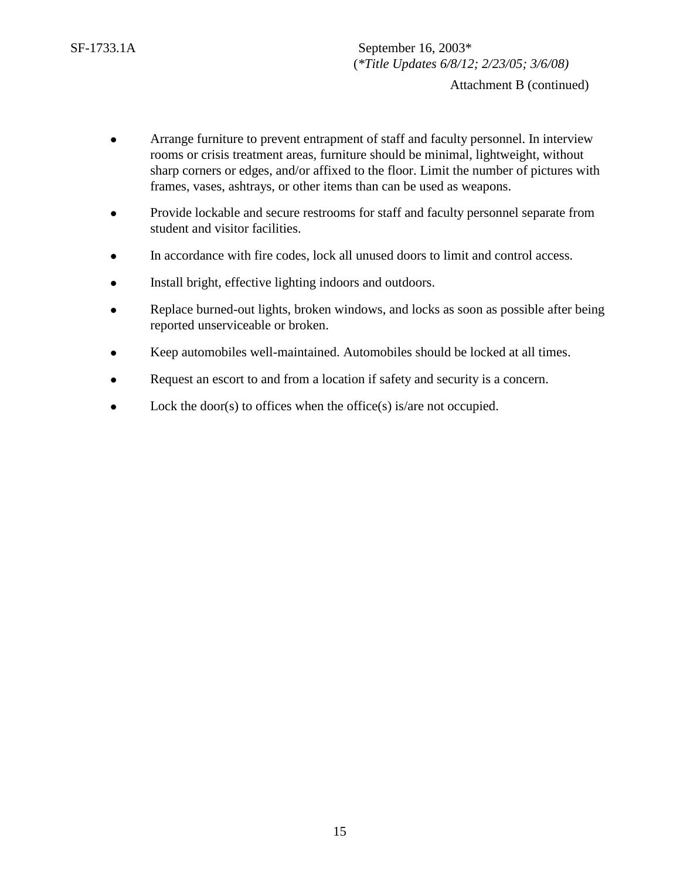Attachment B (continued)

- Arrange furniture to prevent entrapment of staff and faculty personnel. In interview rooms or crisis treatment areas, furniture should be minimal, lightweight, without sharp corners or edges, and/or affixed to the floor. Limit the number of pictures with frames, vases, ashtrays, or other items than can be used as weapons.
- Provide lockable and secure restrooms for staff and faculty personnel separate from student and visitor facilities.
- In accordance with fire codes, lock all unused doors to limit and control access.
- Install bright, effective lighting indoors and outdoors.
- Replace burned-out lights, broken windows, and locks as soon as possible after being reported unserviceable or broken.
- Keep automobiles well-maintained. Automobiles should be locked at all times.
- Request an escort to and from a location if safety and security is a concern.
- $\bullet$  Lock the door(s) to offices when the office(s) is/are not occupied.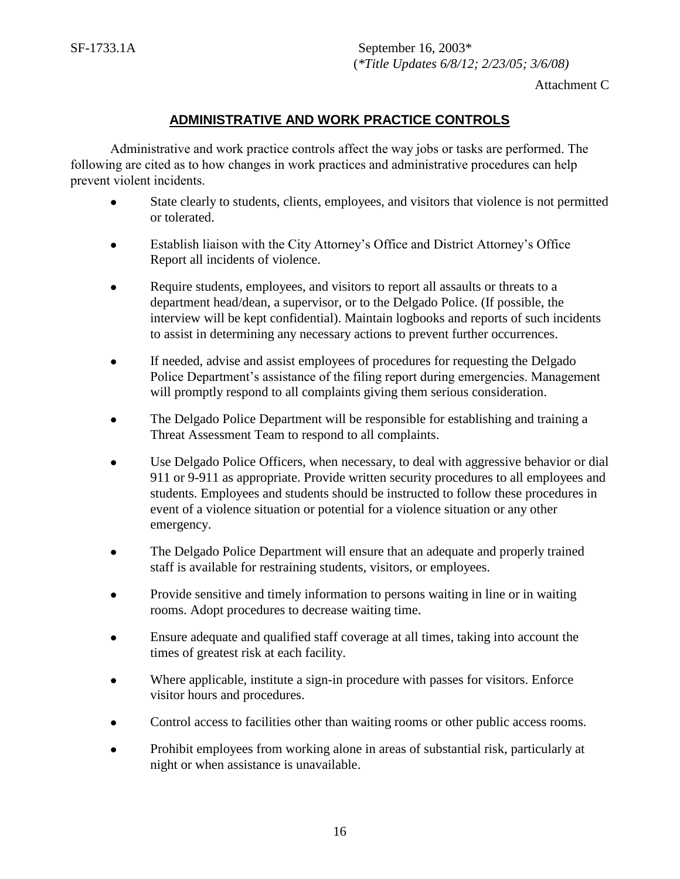16

SF-1733.1A September 16, 2003\* (*\*Title Updates 6/8/12; 2/23/05; 3/6/08)*

Attachment C

## **ADMINISTRATIVE AND WORK PRACTICE CONTROLS**

Administrative and work practice controls affect the way jobs or tasks are performed. The following are cited as to how changes in work practices and administrative procedures can help prevent violent incidents.

- State clearly to students, clients, employees, and visitors that violence is not permitted or tolerated.
- Establish liaison with the City Attorney's Office and District Attorney's Office Report all incidents of violence.
- Require students, employees, and visitors to report all assaults or threats to a department head/dean, a supervisor, or to the Delgado Police. (If possible, the interview will be kept confidential). Maintain logbooks and reports of such incidents to assist in determining any necessary actions to prevent further occurrences.
- If needed, advise and assist employees of procedures for requesting the Delgado Police Department's assistance of the filing report during emergencies. Management will promptly respond to all complaints giving them serious consideration.
- The Delgado Police Department will be responsible for establishing and training a Threat Assessment Team to respond to all complaints.
- Use Delgado Police Officers, when necessary, to deal with aggressive behavior or dial 911 or 9-911 as appropriate. Provide written security procedures to all employees and students. Employees and students should be instructed to follow these procedures in event of a violence situation or potential for a violence situation or any other emergency.
- The Delgado Police Department will ensure that an adequate and properly trained staff is available for restraining students, visitors, or employees.
- Provide sensitive and timely information to persons waiting in line or in waiting rooms. Adopt procedures to decrease waiting time.
- Ensure adequate and qualified staff coverage at all times, taking into account the times of greatest risk at each facility.
- Where applicable, institute a sign-in procedure with passes for visitors. Enforce visitor hours and procedures.
- Control access to facilities other than waiting rooms or other public access rooms.
- Prohibit employees from working alone in areas of substantial risk, particularly at night or when assistance is unavailable.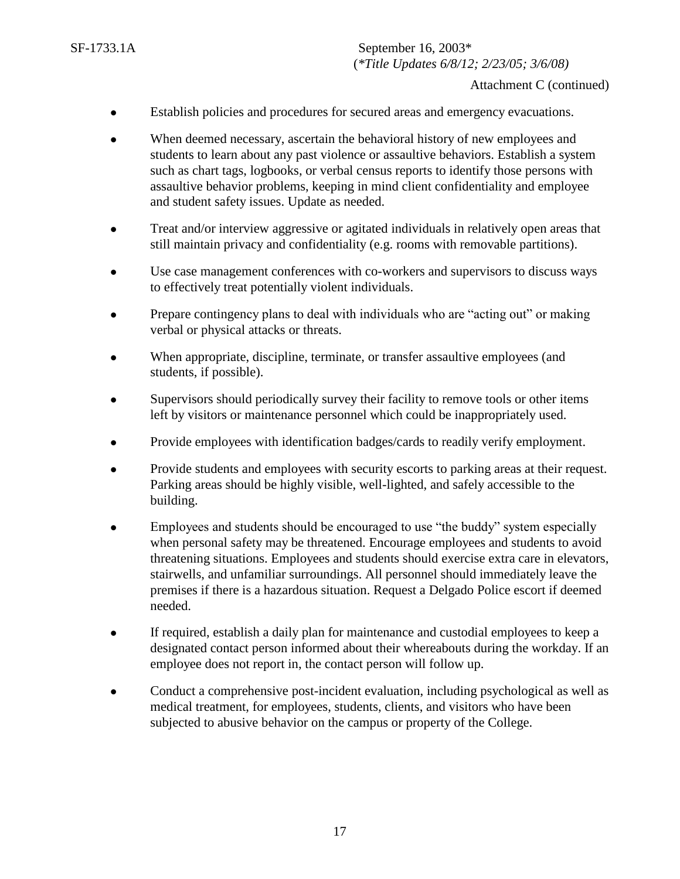- Establish policies and procedures for secured areas and emergency evacuations.
- When deemed necessary, ascertain the behavioral history of new employees and students to learn about any past violence or assaultive behaviors. Establish a system such as chart tags, logbooks, or verbal census reports to identify those persons with assaultive behavior problems, keeping in mind client confidentiality and employee and student safety issues. Update as needed.
- Treat and/or interview aggressive or agitated individuals in relatively open areas that still maintain privacy and confidentiality (e.g. rooms with removable partitions).
- Use case management conferences with co-workers and supervisors to discuss ways to effectively treat potentially violent individuals.
- Prepare contingency plans to deal with individuals who are "acting out" or making verbal or physical attacks or threats.
- When appropriate, discipline, terminate, or transfer assaultive employees (and students, if possible).
- Supervisors should periodically survey their facility to remove tools or other items left by visitors or maintenance personnel which could be inappropriately used.
- Provide employees with identification badges/cards to readily verify employment.
- Provide students and employees with security escorts to parking areas at their request. Parking areas should be highly visible, well-lighted, and safely accessible to the building.
- Employees and students should be encouraged to use "the buddy" system especially when personal safety may be threatened. Encourage employees and students to avoid threatening situations. Employees and students should exercise extra care in elevators, stairwells, and unfamiliar surroundings. All personnel should immediately leave the premises if there is a hazardous situation. Request a Delgado Police escort if deemed needed.
- If required, establish a daily plan for maintenance and custodial employees to keep a designated contact person informed about their whereabouts during the workday. If an employee does not report in, the contact person will follow up.
- Conduct a comprehensive post-incident evaluation, including psychological as well as medical treatment, for employees, students, clients, and visitors who have been subjected to abusive behavior on the campus or property of the College.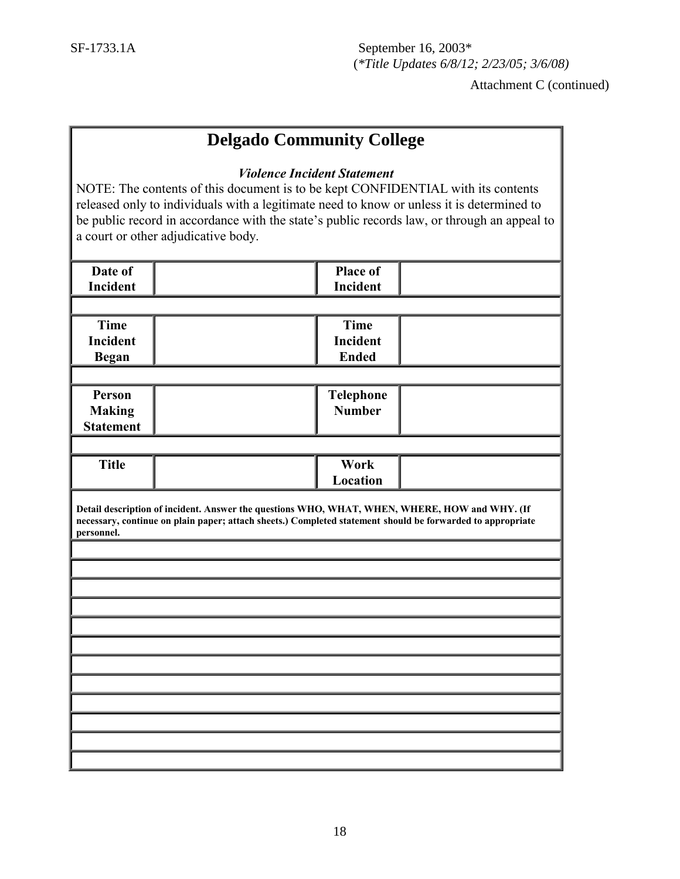## **Delgado Community College**

#### *Violence Incident Statement*

NOTE: The contents of this document is to be kept CONFIDENTIAL with its contents released only to individuals with a legitimate need to know or unless it is determined to be public record in accordance with the state's public records law, or through an appeal to a court or other adjudicative body.

| Place of        |                                                                                                                                                                                                                                                                                                                 |
|-----------------|-----------------------------------------------------------------------------------------------------------------------------------------------------------------------------------------------------------------------------------------------------------------------------------------------------------------|
| <b>Incident</b> |                                                                                                                                                                                                                                                                                                                 |
|                 |                                                                                                                                                                                                                                                                                                                 |
|                 |                                                                                                                                                                                                                                                                                                                 |
|                 |                                                                                                                                                                                                                                                                                                                 |
|                 |                                                                                                                                                                                                                                                                                                                 |
|                 |                                                                                                                                                                                                                                                                                                                 |
|                 |                                                                                                                                                                                                                                                                                                                 |
|                 |                                                                                                                                                                                                                                                                                                                 |
|                 |                                                                                                                                                                                                                                                                                                                 |
|                 |                                                                                                                                                                                                                                                                                                                 |
|                 |                                                                                                                                                                                                                                                                                                                 |
|                 |                                                                                                                                                                                                                                                                                                                 |
|                 |                                                                                                                                                                                                                                                                                                                 |
|                 |                                                                                                                                                                                                                                                                                                                 |
|                 |                                                                                                                                                                                                                                                                                                                 |
|                 |                                                                                                                                                                                                                                                                                                                 |
|                 |                                                                                                                                                                                                                                                                                                                 |
|                 |                                                                                                                                                                                                                                                                                                                 |
|                 |                                                                                                                                                                                                                                                                                                                 |
|                 |                                                                                                                                                                                                                                                                                                                 |
|                 |                                                                                                                                                                                                                                                                                                                 |
|                 |                                                                                                                                                                                                                                                                                                                 |
|                 |                                                                                                                                                                                                                                                                                                                 |
|                 |                                                                                                                                                                                                                                                                                                                 |
|                 |                                                                                                                                                                                                                                                                                                                 |
|                 | <b>Time</b><br><b>Incident</b><br><b>Ended</b><br>Telephone<br><b>Number</b><br>Work<br>Location<br>Detail description of incident. Answer the questions WHO, WHAT, WHEN, WHERE, HOW and WHY. (If<br>necessary, continue on plain paper; attach sheets.) Completed statement should be forwarded to appropriate |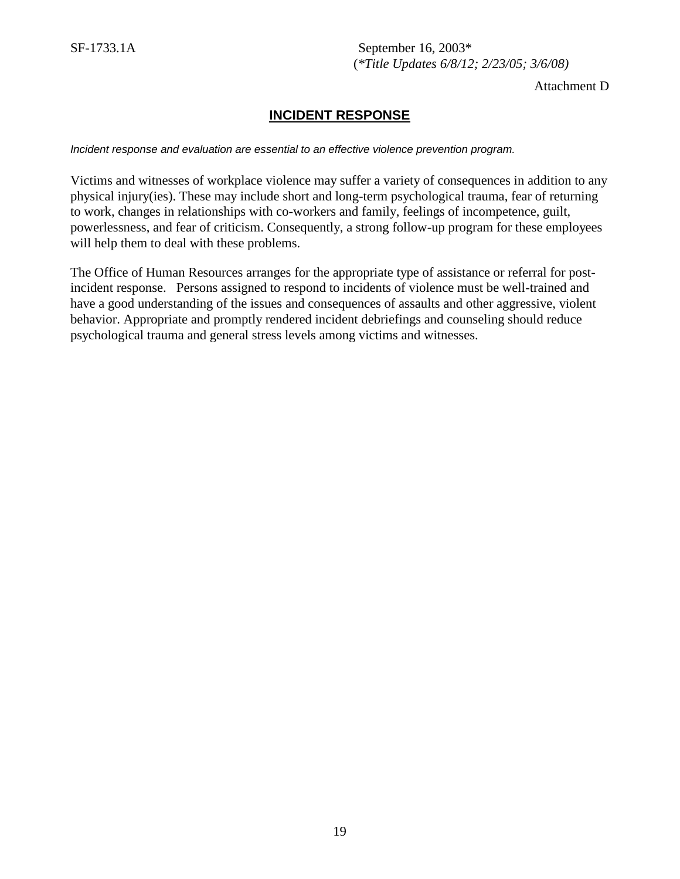Attachment D

## **INCIDENT RESPONSE**

*Incident response and evaluation are essential to an effective violence prevention program.* 

Victims and witnesses of workplace violence may suffer a variety of consequences in addition to any physical injury(ies). These may include short and long-term psychological trauma, fear of returning to work, changes in relationships with co-workers and family, feelings of incompetence, guilt, powerlessness, and fear of criticism. Consequently, a strong follow-up program for these employees will help them to deal with these problems.

The Office of Human Resources arranges for the appropriate type of assistance or referral for postincident response. Persons assigned to respond to incidents of violence must be well-trained and have a good understanding of the issues and consequences of assaults and other aggressive, violent behavior. Appropriate and promptly rendered incident debriefings and counseling should reduce psychological trauma and general stress levels among victims and witnesses.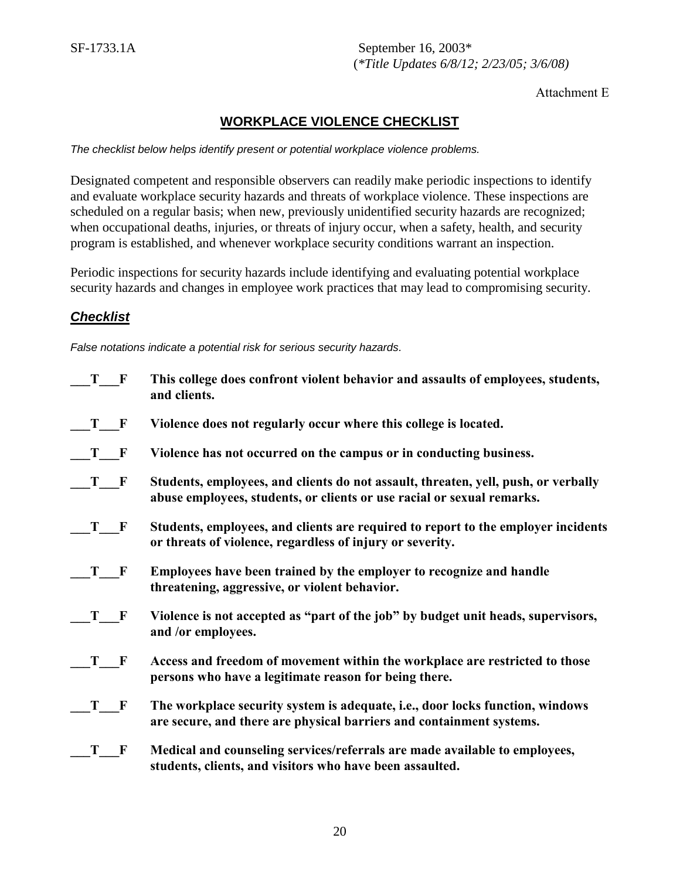#### Attachment E

## **WORKPLACE VIOLENCE CHECKLIST**

*The checklist below helps identify present or potential workplace violence problems.* 

Designated competent and responsible observers can readily make periodic inspections to identify and evaluate workplace security hazards and threats of workplace violence. These inspections are scheduled on a regular basis; when new, previously unidentified security hazards are recognized; when occupational deaths, injuries, or threats of injury occur, when a safety, health, and security program is established, and whenever workplace security conditions warrant an inspection.

Periodic inspections for security hazards include identifying and evaluating potential workplace security hazards and changes in employee work practices that may lead to compromising security.

## *Checklist*

*False notations indicate a potential risk for serious security hazards.* 

| T F                                                                                                                                                                                                                            | This college does confront violent behavior and assaults of employees, students,<br>and clients. |
|--------------------------------------------------------------------------------------------------------------------------------------------------------------------------------------------------------------------------------|--------------------------------------------------------------------------------------------------|
| T<br>F                                                                                                                                                                                                                         | Violence does not regularly occur where this college is located.                                 |
| T<br>F                                                                                                                                                                                                                         | Violence has not occurred on the campus or in conducting business.                               |
| T                                                                                                                                                                                                                              | Students, employees, and clients do not assault, threaten, yell, push, or verbally               |
| F                                                                                                                                                                                                                              | abuse employees, students, or clients or use racial or sexual remarks.                           |
| T                                                                                                                                                                                                                              | Students, employees, and clients are required to report to the employer incidents                |
| F                                                                                                                                                                                                                              | or threats of violence, regardless of injury or severity.                                        |
| T —                                                                                                                                                                                                                            | Employees have been trained by the employer to recognize and handle                              |
| F                                                                                                                                                                                                                              | threatening, aggressive, or violent behavior.                                                    |
| T                                                                                                                                                                                                                              | Violence is not accepted as "part of the job" by budget unit heads, supervisors,                 |
| F                                                                                                                                                                                                                              | and /or employees.                                                                               |
| T and the set of the set of the set of the set of the set of the set of the set of the set of the set of the set of the set of the set of the set of the set of the set of the set of the set of the set of the set of the set | Access and freedom of movement within the workplace are restricted to those                      |
| F                                                                                                                                                                                                                              | persons who have a legitimate reason for being there.                                            |
| T                                                                                                                                                                                                                              | The workplace security system is adequate, i.e., door locks function, windows                    |
| F                                                                                                                                                                                                                              | are secure, and there are physical barriers and containment systems.                             |
| T                                                                                                                                                                                                                              | Medical and counseling services/referrals are made available to employees,                       |
| F                                                                                                                                                                                                                              | students, clients, and visitors who have been assaulted.                                         |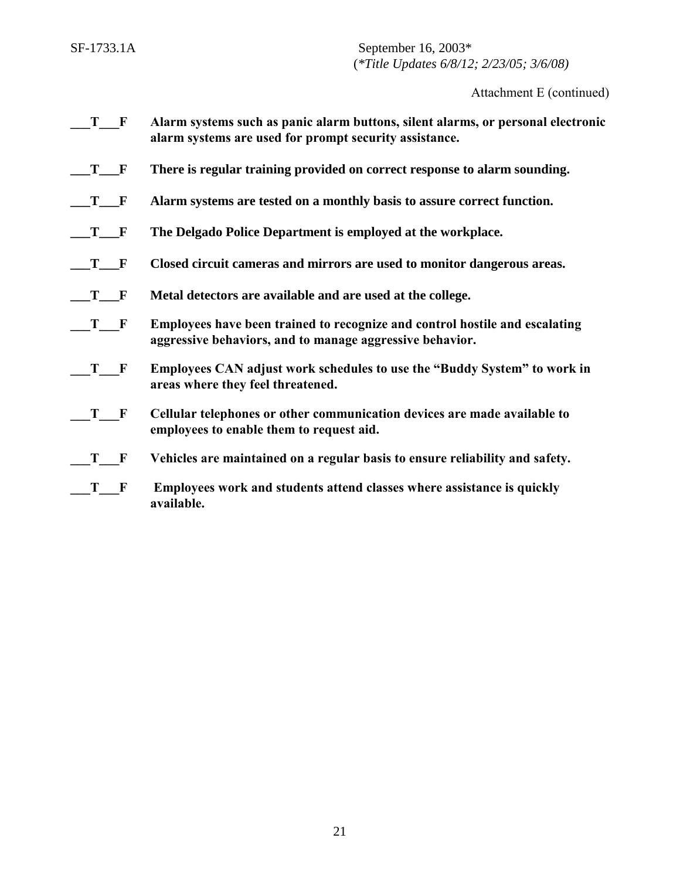Attachment E (continued)

- **\_\_\_T\_\_\_F Alarm systems such as panic alarm buttons, silent alarms, or personal electronic alarm systems are used for prompt security assistance.**
- **\_\_\_T\_\_\_F There is regular training provided on correct response to alarm sounding.**
- **\_\_\_T\_\_\_F Alarm systems are tested on a monthly basis to assure correct function.**
- **\_\_\_T\_\_\_F The Delgado Police Department is employed at the workplace.**
- **\_\_\_T\_\_\_F Closed circuit cameras and mirrors are used to monitor dangerous areas.**
- **\_\_\_T\_\_\_F Metal detectors are available and are used at the college.**
- **\_\_\_T\_\_\_F Employees have been trained to recognize and control hostile and escalating aggressive behaviors, and to manage aggressive behavior.**
- **\_\_\_T\_\_\_F Employees CAN adjust work schedules to use the "Buddy System" to work in areas where they feel threatened.**
- **\_\_\_T\_\_\_F Cellular telephones or other communication devices are made available to employees to enable them to request aid.**
- **\_\_\_T\_\_\_F Vehicles are maintained on a regular basis to ensure reliability and safety.**
- **\_\_\_T\_\_\_F Employees work and students attend classes where assistance is quickly available.**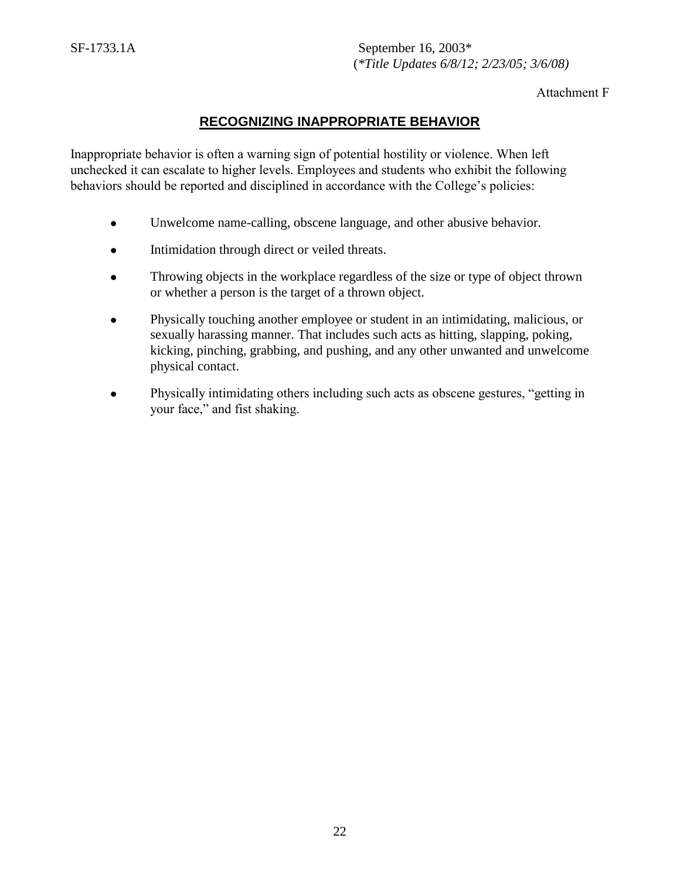Attachment F

## **RECOGNIZING INAPPROPRIATE BEHAVIOR**

Inappropriate behavior is often a warning sign of potential hostility or violence. When left unchecked it can escalate to higher levels. Employees and students who exhibit the following behaviors should be reported and disciplined in accordance with the College's policies:

- Unwelcome name-calling, obscene language, and other abusive behavior.
- Intimidation through direct or veiled threats.
- Throwing objects in the workplace regardless of the size or type of object thrown or whether a person is the target of a thrown object.
- Physically touching another employee or student in an intimidating, malicious, or sexually harassing manner. That includes such acts as hitting, slapping, poking, kicking, pinching, grabbing, and pushing, and any other unwanted and unwelcome physical contact.
- Physically intimidating others including such acts as obscene gestures, "getting in your face," and fist shaking.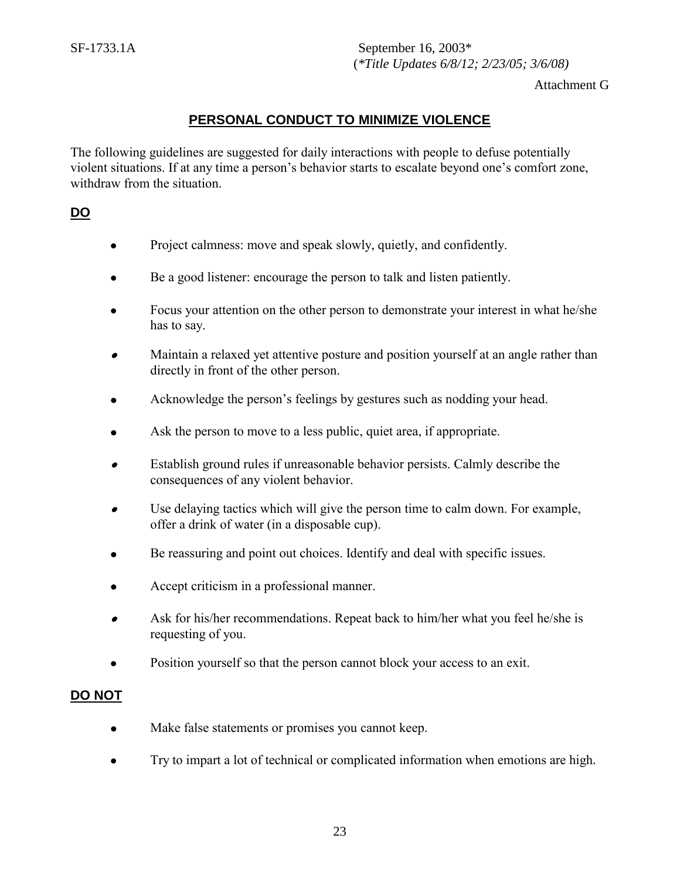Attachment G

## **PERSONAL CONDUCT TO MINIMIZE VIOLENCE**

The following guidelines are suggested for daily interactions with people to defuse potentially violent situations. If at any time a person's behavior starts to escalate beyond one's comfort zone, withdraw from the situation.

## **DO**

- Project calmness: move and speak slowly, quietly, and confidently.
- Be a good listener: encourage the person to talk and listen patiently.
- Focus your attention on the other person to demonstrate your interest in what he/she has to say.
- $\bullet$  Maintain a relaxed yet attentive posture and position yourself at an angle rather than directly in front of the other person.
- Acknowledge the person's feelings by gestures such as nodding your head.
- Ask the person to move to a less public, quiet area, if appropriate.
- $\bullet$  Establish ground rules if unreasonable behavior persists. Calmly describe the consequences of any violent behavior.
- $\bullet$  Use delaying tactics which will give the person time to calm down. For example, offer a drink of water (in a disposable cup).
- Be reassuring and point out choices. Identify and deal with specific issues.
- Accept criticism in a professional manner.
- $\bullet$  Ask for his/her recommendations. Repeat back to him/her what you feel he/she is requesting of you.
- Position yourself so that the person cannot block your access to an exit.

## **DO NOT**

- Make false statements or promises you cannot keep.
- Try to impart a lot of technical or complicated information when emotions are high*.*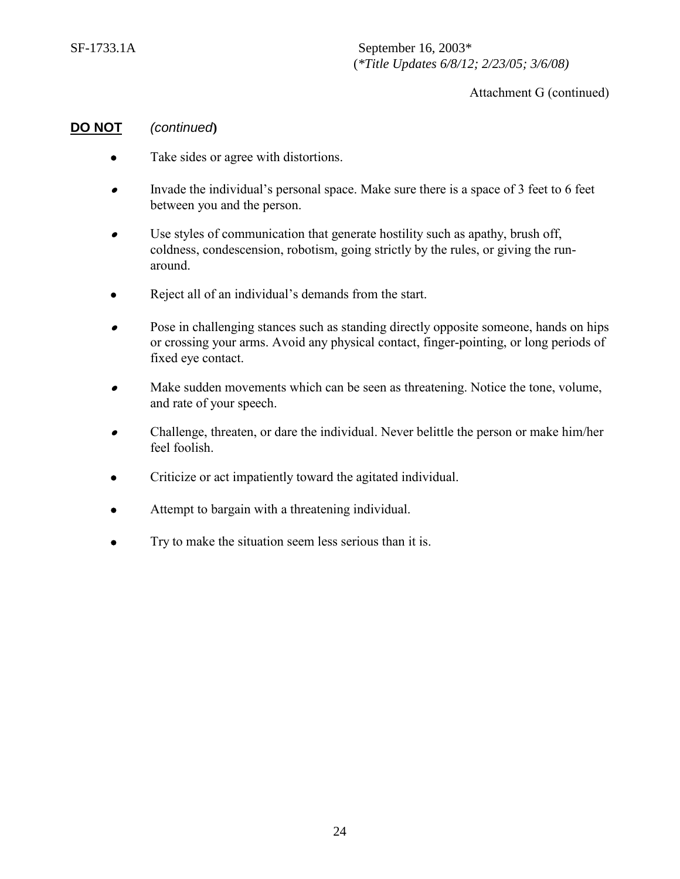Attachment G (continued)

#### **DO NOT** *(continued***)**

- Take sides or agree with distortions.
- $\bullet$  Invade the individual's personal space. Make sure there is a space of 3 feet to 6 feet between you and the person.
- $\bullet$  Use styles of communication that generate hostility such as apathy, brush off, coldness, condescension, robotism, going strictly by the rules, or giving the runaround.
- Reject all of an individual's demands from the start.
- $\bullet$  Pose in challenging stances such as standing directly opposite someone, hands on hips or crossing your arms. Avoid any physical contact, finger-pointing, or long periods of fixed eye contact.
- $\bullet$  Make sudden movements which can be seen as threatening. Notice the tone, volume, and rate of your speech.
- $\bullet$  Challenge, threaten, or dare the individual. Never belittle the person or make him/her feel foolish.
- Criticize or act impatiently toward the agitated individual.
- Attempt to bargain with a threatening individual.
- Try to make the situation seem less serious than it is.